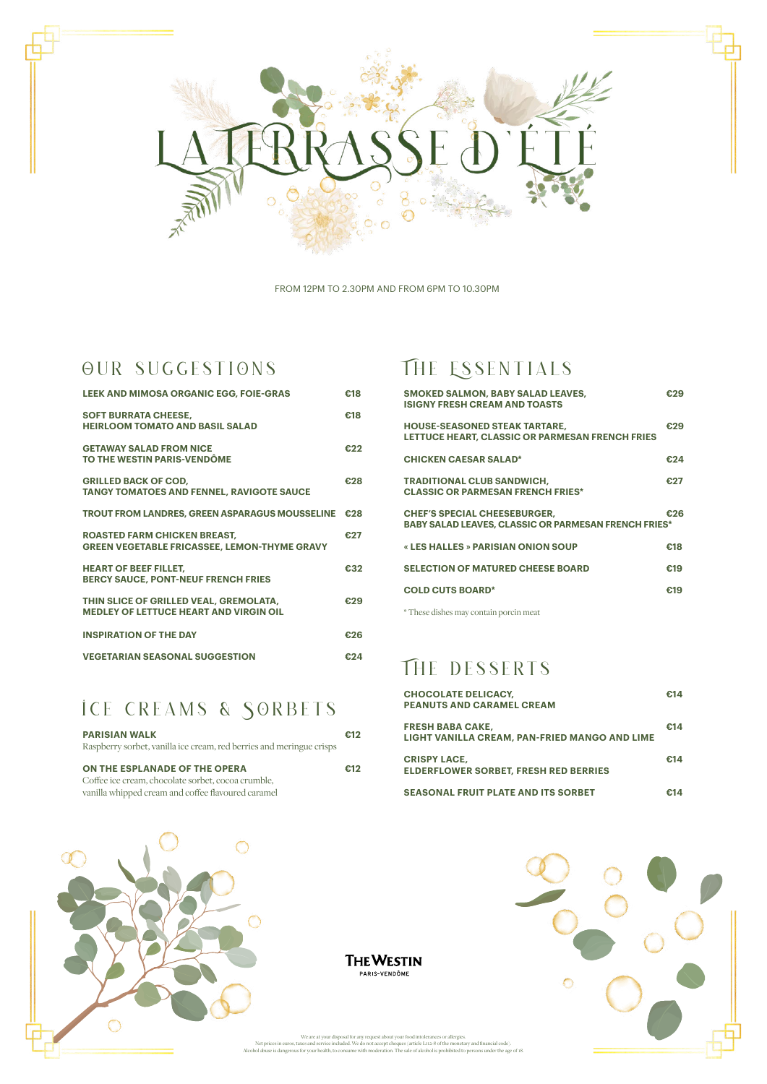

FROM 12PM TO 2.30PM AND FROM 6PM TO 10.30PM

### OUR SUGGESTIONS

| <b>LEEK AND MIMOSA ORGANIC EGG, FOIE-GRAS</b>                                              | €18 |
|--------------------------------------------------------------------------------------------|-----|
| <b>SOFT BURRATA CHEESE,</b><br><b>HEIRLOOM TOMATO AND RASIL SALAD</b>                      | €18 |
| <b>GETAWAY SALAD FROM NICE</b><br><b>TO THE WESTIN PARIS-VENDÔME</b>                       | £22 |
| <b>GRILLED BACK OF COD,</b><br><b>TANGY TOMATOES AND FENNEL, RAVIGOTE SAUCE</b>            | €28 |
| <b>TROUT FROM LANDRES, GREEN ASPARAGUS MOUSSELINE</b>                                      | £28 |
| <b>ROASTED FARM CHICKEN BREAST,</b><br><b>GREEN VEGETABLE FRICASSEE, LEMON-THYME GRAVY</b> | €27 |
| <b>HEART OF BEEF FILLET,</b><br><b>BERCY SAUCE, PONT-NEUF FRENCH FRIES</b>                 | €32 |
| THIN SLICE OF GRILLED VEAL, GREMOLATA,<br><b>MEDLEY OF LETTUCE HEART AND VIRGIN OIL</b>    | €29 |
| <b>INSPIRATION OF THE DAY</b>                                                              | €26 |
| <b>VEGETARIAN SEASONAL SUGGESTION</b>                                                      | €24 |

# ICE CREAMS & SORBETS

| <b>CHOCOLATE DELICACY,</b><br><b>PEANUTS AND CARAMEL CREAM</b>           | €14 |
|--------------------------------------------------------------------------|-----|
| <b>FRESH BABA CAKE.</b><br>LIGHT VANILLA CREAM, PAN-FRIED MANGO AND LIME | €14 |
| <b>CRISPY LACE,</b><br><b>ELDERFLOWER SORBET, FRESH RED BERRIES</b>      | €14 |
| <b>SEASONAL FRUIT PLATE AND ITS SORBET</b>                               | €14 |



 $\bullet$ 

**THE WESTIN** PARIS-VENDÔME

We are at your disposal for any request about your food intolerances or allergies.<br>Net prices in euros, taxes and service included. We do not accept cheques (article L112-8 of the monetary and financial code).<br>Alcohol abus

| <b>PARISIAN WALK</b><br>Raspberry sorbet, vanilla ice cream, red berries and meringue crisps | €12 |
|----------------------------------------------------------------------------------------------|-----|
| ON THE ESPLANADE OF THE OPERA                                                                | £12 |
| Coffee ice cream, chocolate sorbet, cocoa crumble,                                           |     |
| vanilla whipped cream and coffee flavoured caramel                                           |     |

## THE ESSENTIALS

| <b>SMOKED SALMON, BABY SALAD LEAVES,</b><br><b>ISIGNY FRESH CREAM AND TOASTS</b>                   | €29 |
|----------------------------------------------------------------------------------------------------|-----|
| <b>HOUSE-SEASONED STEAK TARTARE,</b><br>LETTUCE HEART, CLASSIC OR PARMESAN FRENCH FRIES            | €29 |
| <b>CHICKEN CAESAR SALAD*</b>                                                                       | €24 |
| <b>TRADITIONAL CLUB SANDWICH,</b><br><b>CLASSIC OR PARMESAN FRENCH FRIES*</b>                      | €27 |
| <b>CHEF'S SPECIAL CHEESEBURGER,</b><br><b>BABY SALAD LEAVES, CLASSIC OR PARMESAN FRENCH FRIES*</b> | €26 |
| « LES HALLES » PARISIAN ONION SOUP                                                                 | €18 |
| <b>SELECTION OF MATURED CHEESE BOARD</b>                                                           | €19 |
| <b>COLD CUTS BOARD*</b>                                                                            | €19 |
|                                                                                                    |     |

\* These dishes may contain porcin meat

# THE DESSERTS